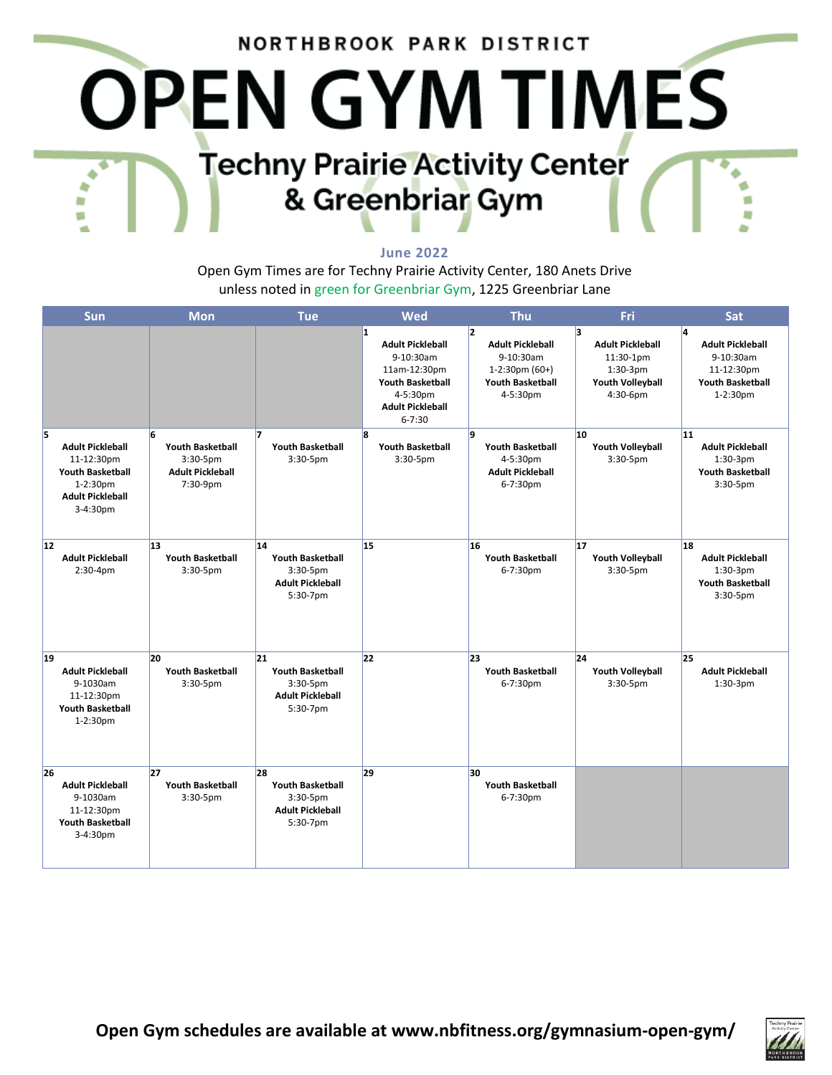# NORTHBROOK PARK DISTRICT **OPEN GYM TIMES Techny Prairie Activity Center** & Greenbriar Gym

#### **June 2022**

Open Gym Times are for Techny Prairie Activity Center, 180 Anets Drive unless noted in green for Greenbriar Gym, 1225 Greenbriar Lane

| Sun                                                                                                                       | <b>Mon</b>                                                                         | <b>Tue</b>                                                                          | Wed                                                                                                                                       | <b>Thu</b>                                                                                               | Fri                                                                                       | Sat                                                                                              |
|---------------------------------------------------------------------------------------------------------------------------|------------------------------------------------------------------------------------|-------------------------------------------------------------------------------------|-------------------------------------------------------------------------------------------------------------------------------------------|----------------------------------------------------------------------------------------------------------|-------------------------------------------------------------------------------------------|--------------------------------------------------------------------------------------------------|
|                                                                                                                           |                                                                                    |                                                                                     | 1<br><b>Adult Pickleball</b><br>9-10:30am<br>11am-12:30pm<br><b>Youth Basketball</b><br>4-5:30pm<br><b>Adult Pickleball</b><br>$6 - 7:30$ | 12<br><b>Adult Pickleball</b><br>9-10:30am<br>$1-2:30$ pm $(60+)$<br><b>Youth Basketball</b><br>4-5:30pm | l3.<br><b>Adult Pickleball</b><br>11:30-1pm<br>$1:30-3pm$<br>Youth Volleyball<br>4:30-6pm | l4.<br><b>Adult Pickleball</b><br>9-10:30am<br>11-12:30pm<br><b>Youth Basketball</b><br>1-2:30pm |
| 15<br><b>Adult Pickleball</b><br>11-12:30pm<br><b>Youth Basketball</b><br>1-2:30pm<br><b>Adult Pickleball</b><br>3-4:30pm | 6<br><b>Youth Basketball</b><br>$3:30-5$ pm<br><b>Adult Pickleball</b><br>7:30-9pm | <b>Youth Basketball</b><br>$3:30-5$ pm                                              | l8<br><b>Youth Basketball</b><br>$3:30-5$ pm                                                                                              | l9<br><b>Youth Basketball</b><br>4-5:30pm<br><b>Adult Pickleball</b><br>6-7:30pm                         | 10<br><b>Youth Volleyball</b><br>$3:30-5$ pm                                              | 11<br><b>Adult Pickleball</b><br>$1:30-3pm$<br><b>Youth Basketball</b><br>3:30-5pm               |
| 12<br><b>Adult Pickleball</b><br>$2:30-4pm$                                                                               | 13<br><b>Youth Basketball</b><br>3:30-5pm                                          | 14<br><b>Youth Basketball</b><br>3:30-5pm<br><b>Adult Pickleball</b><br>5:30-7pm    | 15                                                                                                                                        | 16<br><b>Youth Basketball</b><br>6-7:30pm                                                                | 17<br><b>Youth Volleyball</b><br>3:30-5pm                                                 | 18<br><b>Adult Pickleball</b><br>$1:30-3pm$<br><b>Youth Basketball</b><br>3:30-5pm               |
| 19<br><b>Adult Pickleball</b><br>9-1030am<br>11-12:30pm<br><b>Youth Basketball</b><br>1-2:30pm                            | 20<br><b>Youth Basketball</b><br>$3:30-5$ pm                                       | 21<br><b>Youth Basketball</b><br>$3:30-5$ pm<br><b>Adult Pickleball</b><br>5:30-7pm | 22                                                                                                                                        | 23<br><b>Youth Basketball</b><br>6-7:30pm                                                                | 24<br><b>Youth Volleyball</b><br>$3:30-5$ pm                                              | 25<br><b>Adult Pickleball</b><br>$1:30-3pm$                                                      |
| 26<br><b>Adult Pickleball</b><br>9-1030am<br>11-12:30pm<br><b>Youth Basketball</b><br>3-4:30pm                            | 27<br><b>Youth Basketball</b><br>3:30-5pm                                          | 28<br><b>Youth Basketball</b><br>3:30-5pm<br><b>Adult Pickleball</b><br>5:30-7pm    | 29                                                                                                                                        | 30<br><b>Youth Basketball</b><br>6-7:30pm                                                                |                                                                                           |                                                                                                  |